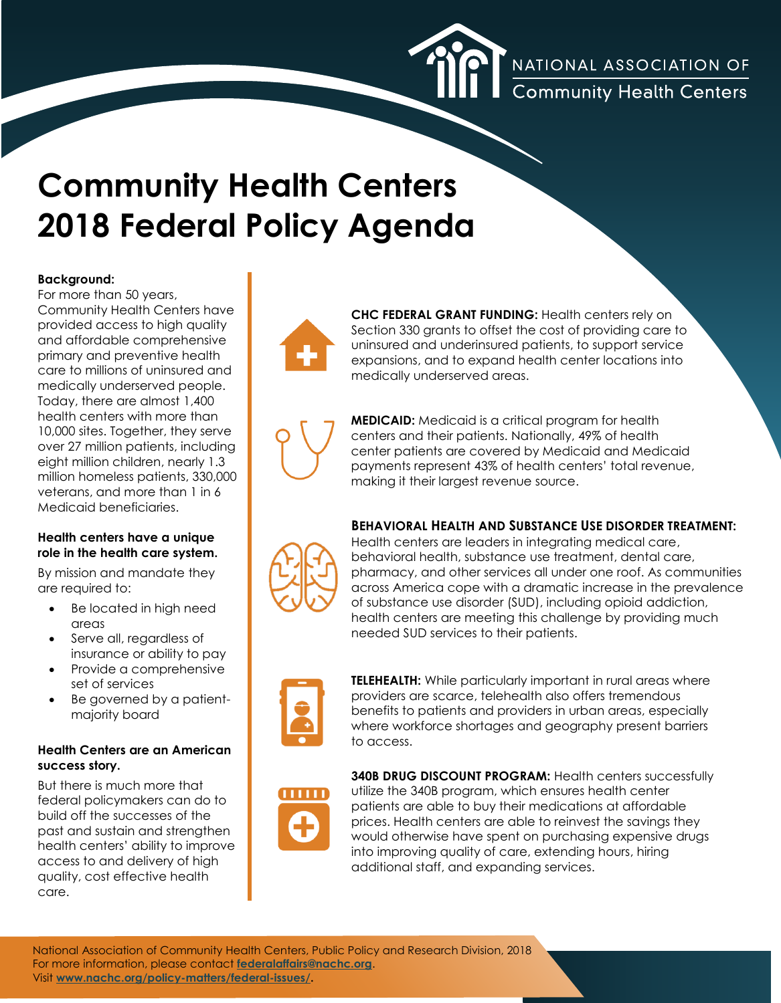

# NATIONAL ASSOCIATION OF<br>Community Health Centers

# **Community Health Centers 2018 Federal Policy Agenda**

### **Background:**

For more than 50 years, Community Health Centers have provided access to high quality and affordable comprehensive primary and preventive health care to millions of uninsured and medically underserved people. Today, there are almost 1,400 health centers with more than 10,000 sites. Together, they serve over 27 million patients, including eight million children, nearly 1.3 million homeless patients, 330,000 veterans, and more than 1 in 6 Medicaid beneficiaries.

#### **Health centers have a unique role in the health care system.**

By mission and mandate they are required to:

- Be located in high need areas
- Serve all, regardless of insurance or ability to pay
- Provide a comprehensive set of services
- Be governed by a patientmajority board

### **Health Centers are an American success story.**

But there is much more that federal policymakers can do to build off the successes of the past and sustain and strengthen health centers' ability to improve access to and delivery of high quality, cost effective health care.



**CHC FEDERAL GRANT FUNDING:** Health centers rely on Section 330 grants to offset the cost of providing care to uninsured and underinsured patients, to support service expansions, and to expand health center locations into medically underserved areas.



**MEDICAID:** Medicaid is a critical program for health centers and their patients. Nationally, 49% of health center patients are covered by Medicaid and Medicaid payments represent 43% of health centers' total revenue, making it their largest revenue source.

### **BEHAVIORAL HEALTH AND SUBSTANCE USE DISORDER TREATMENT:**



Health centers are leaders in integrating medical care, behavioral health, substance use treatment, dental care, pharmacy, and other services all under one roof. As communities across America cope with a dramatic increase in the prevalence of substance use disorder (SUD), including opioid addiction, health centers are meeting this challenge by providing much needed SUD services to their patients.



**TELEHEALTH:** While particularly important in rural areas where providers are scarce, telehealth also offers tremendous benefits to patients and providers in urban areas, especially where workforce shortages and geography present barriers to access.



**340B DRUG DISCOUNT PROGRAM: Health centers successfully** utilize the 340B program, which ensures health center patients are able to buy their medications at affordable prices. Health centers are able to reinvest the savings they would otherwise have spent on purchasing expensive drugs into improving quality of care, extending hours, hiring additional staff, and expanding services.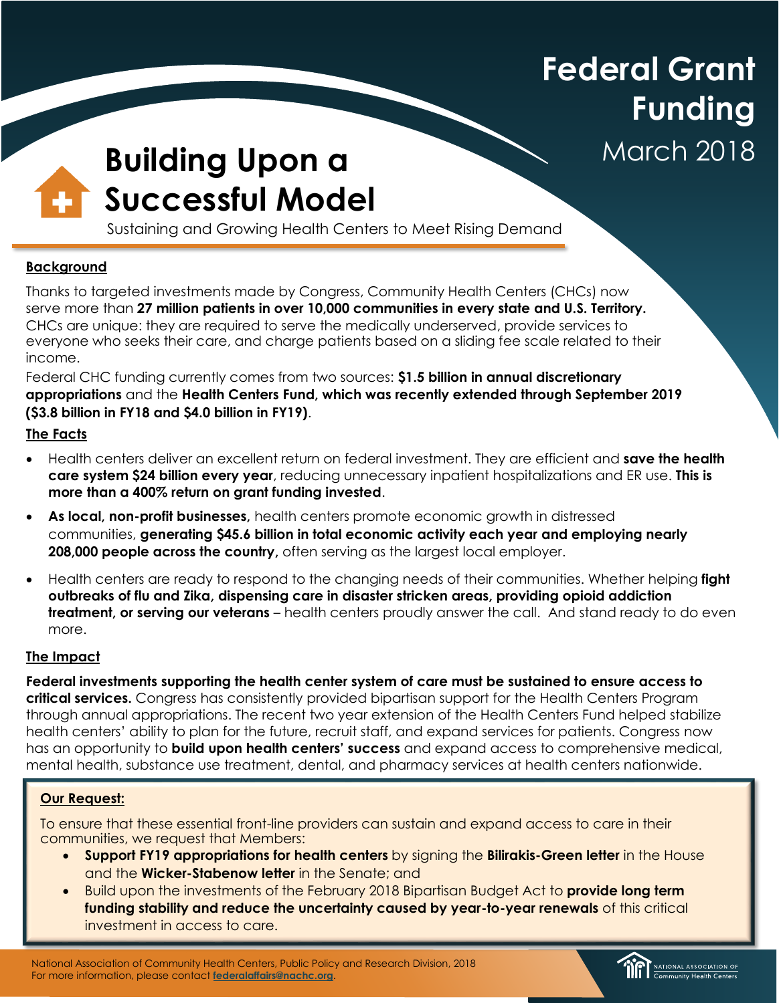# **Federal Grant Funding**

March 2018

# **Building Upon a Successful Model**

Sustaining and Growing Health Centers to Meet Rising Demand

### **Background**

Thanks to targeted investments made by Congress, Community Health Centers (CHCs) now serve more than **27 million patients in over 10,000 communities in every state and U.S. Territory.**  CHCs are unique: they are required to serve the medically underserved, provide services to everyone who seeks their care, and charge patients based on a sliding fee scale related to their income.

Federal CHC funding currently comes from two sources: **\$1.5 billion in annual discretionary appropriations** and the **Health Centers Fund, which was recently extended through September 2019 (\$3.8 billion in FY18 and \$4.0 billion in FY19)**.

### **The Facts**

- Health centers deliver an excellent return on federal investment. They are efficient and **save the health care system \$24 billion every year**, reducing unnecessary inpatient hospitalizations and ER use. **This is more than a 400% return on grant funding invested**.
- **As local, non-profit businesses,** health centers promote economic growth in distressed communities, **generating \$45.6 billion in total economic activity each year and employing nearly 208,000 people across the country,** often serving as the largest local employer.
- Health centers are ready to respond to the changing needs of their communities. Whether helping **fight outbreaks of flu and Zika, dispensing care in disaster stricken areas, providing opioid addiction treatment, or serving our veterans** – health centers proudly answer the call. And stand ready to do even more.

### **The Impact**

**Federal investments supporting the health center system of care must be sustained to ensure access to critical services.** Congress has consistently provided bipartisan support for the Health Centers Program through annual appropriations. The recent two year extension of the Health Centers Fund helped stabilize health centers' ability to plan for the future, recruit staff, and expand services for patients. Congress now has an opportunity to **build upon health centers' success** and expand access to comprehensive medical, mental health, substance use treatment, dental, and pharmacy services at health centers nationwide.

### **Our Request:**

To ensure that these essential front-line providers can sustain and expand access to care in their communities, we request that Members:

- **Support FY19 appropriations for health centers** by signing the **Bilirakis-Green letter** in the House and the **Wicker-Stabenow letter** in the Senate; and
- Build upon the investments of the February 2018 Bipartisan Budget Act to **provide long term funding stability and reduce the uncertainty caused by year-to-year renewals** of this critical investment in access to care.

National Association of Community Health Centers, Public Policy and Research Division, 2018 For more information, please contact **[federalaffairs@nachc.org](file:///C:/Users/aauces/Desktop/federalaffairs@nachc.org)**.

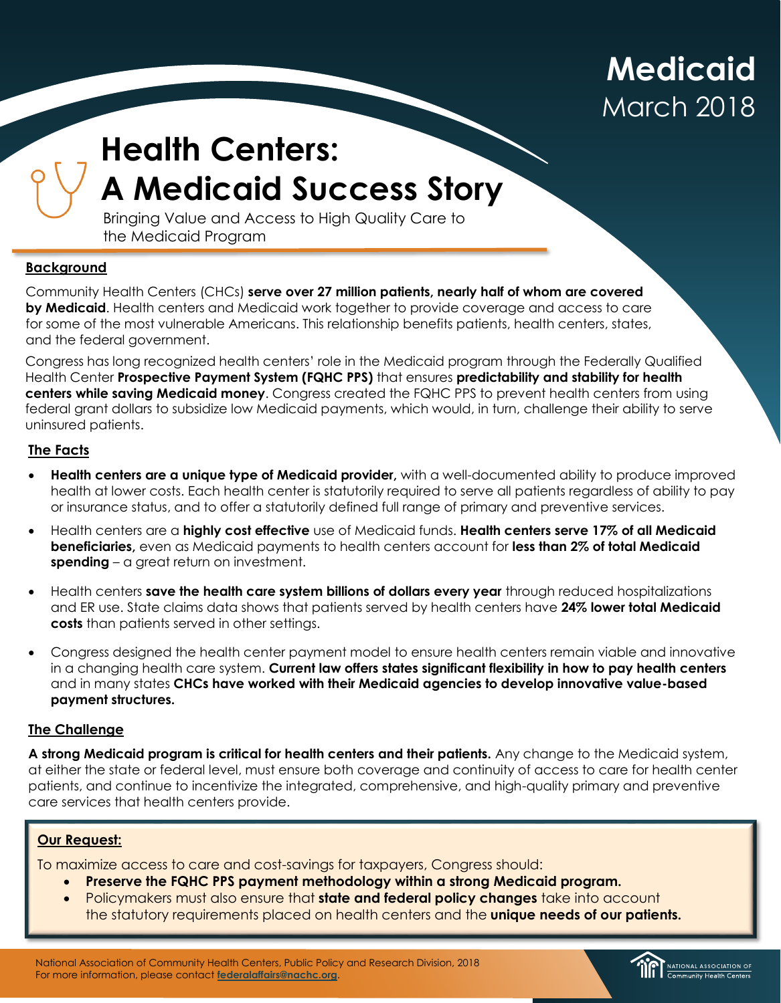# **Medicaid** March 2018

# **Health Centers: A Medicaid Success Story**

Bringing Value and Access to High Quality Care to the Medicaid Program

### **Background**

Community Health Centers (CHCs) **serve over 27 million patients, nearly half of whom are covered by Medicaid**. Health centers and Medicaid work together to provide coverage and access to care for some of the most vulnerable Americans. This relationship benefits patients, health centers, states, and the federal government.

Congress has long recognized health centers' role in the Medicaid program through the Federally Qualified Health Center **Prospective Payment System (FQHC PPS)** that ensures **predictability and stability for health centers while saving Medicaid money**. Congress created the FQHC PPS to prevent health centers from using federal grant dollars to subsidize low Medicaid payments, which would, in turn, challenge their ability to serve uninsured patients.

### **The Facts**

- **Health centers are a unique type of Medicaid provider,** with a well-documented ability to produce improved health at lower costs. Each health center is statutorily required to serve all patients regardless of ability to pay or insurance status, and to offer a statutorily defined full range of primary and preventive services.
- Health centers are a **highly cost effective** use of Medicaid funds. **Health centers serve 17% of all Medicaid beneficiaries,** even as Medicaid payments to health centers account for **less than 2% of total Medicaid spending** – a great return on investment.
- Health centers **save the health care system billions of dollars every year** through reduced hospitalizations and ER use. State claims data shows that patients served by health centers have **24% lower total Medicaid costs** than patients served in other settings.
- Congress designed the health center payment model to ensure health centers remain viable and innovative in a changing health care system. **Current law offers states significant flexibility in how to pay health centers** and in many states **CHCs have worked with their Medicaid agencies to develop innovative value-based payment structures.**

### **The Challenge**

**A strong Medicaid program is critical for health centers and their patients.** Any change to the Medicaid system, at either the state or federal level, must ensure both coverage and continuity of access to care for health center patients, and continue to incentivize the integrated, comprehensive, and high-quality primary and preventive care services that health centers provide.

### **Our Request:**

To maximize access to care and cost-savings for taxpayers, Congress should:

- **Preserve the FQHC PPS payment methodology within a strong Medicaid program.**
- Policymakers must also ensure that **state and federal policy changes** take into account the statutory requirements placed on health centers and the **unique needs of our patients.**

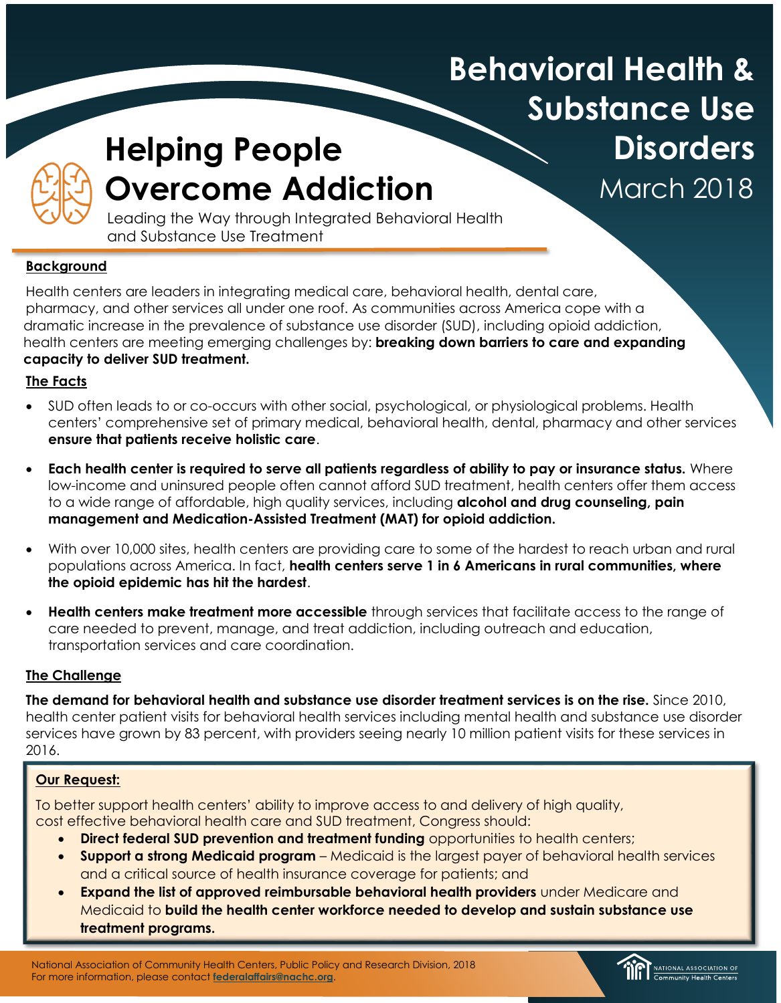# **Behavioral Health & Substance Use Disorders** March 2018



### **Helping People Overcome Addiction**

Leading the Way through Integrated Behavioral Health and Substance Use Treatment

### **Background**

Health centers are leaders in integrating medical care, behavioral health, dental care, pharmacy, and other services all under one roof. As communities across America cope with a dramatic increase in the prevalence of substance use disorder (SUD), including opioid addiction, health centers are meeting emerging challenges by: **breaking down barriers to care and expanding capacity to deliver SUD treatment.**

### **The Facts**

- SUD often leads to or co-occurs with other social, psychological, or physiological problems. Health centers' comprehensive set of primary medical, behavioral health, dental, pharmacy and other services **ensure that patients receive holistic care**.
- **Each health center is required to serve all patients regardless of ability to pay or insurance status.** Where low-income and uninsured people often cannot afford SUD treatment, health centers offer them access to a wide range of affordable, high quality services, including **alcohol and drug counseling, pain management and Medication-Assisted Treatment (MAT) for opioid addiction.**
- With over 10,000 sites, health centers are providing care to some of the hardest to reach urban and rural populations across America. In fact, **health centers serve 1 in 6 Americans in rural communities, where the opioid epidemic has hit the hardest**.
- **Health centers make treatment more accessible** through services that facilitate access to the range of care needed to prevent, manage, and treat addiction, including outreach and education, transportation services and care coordination.

### **The Challenge**

**The demand for behavioral health and substance use disorder treatment services is on the rise.** Since 2010, health center patient visits for behavioral health services including mental health and substance use disorder services have grown by 83 percent, with providers seeing nearly 10 million patient visits for these services in 2016.

### **Our Request:**

To better support health centers' ability to improve access to and delivery of high quality, cost effective behavioral health care and SUD treatment, Congress should:

- **Direct federal SUD prevention and treatment funding** opportunities to health centers;
- **Support a strong Medicaid program** Medicaid is the largest payer of behavioral health services and a critical source of health insurance coverage for patients; and
- **Expand the list of approved reimbursable behavioral health providers** under Medicare and Medicaid to **build the health center workforce needed to develop and sustain substance use treatment programs.**

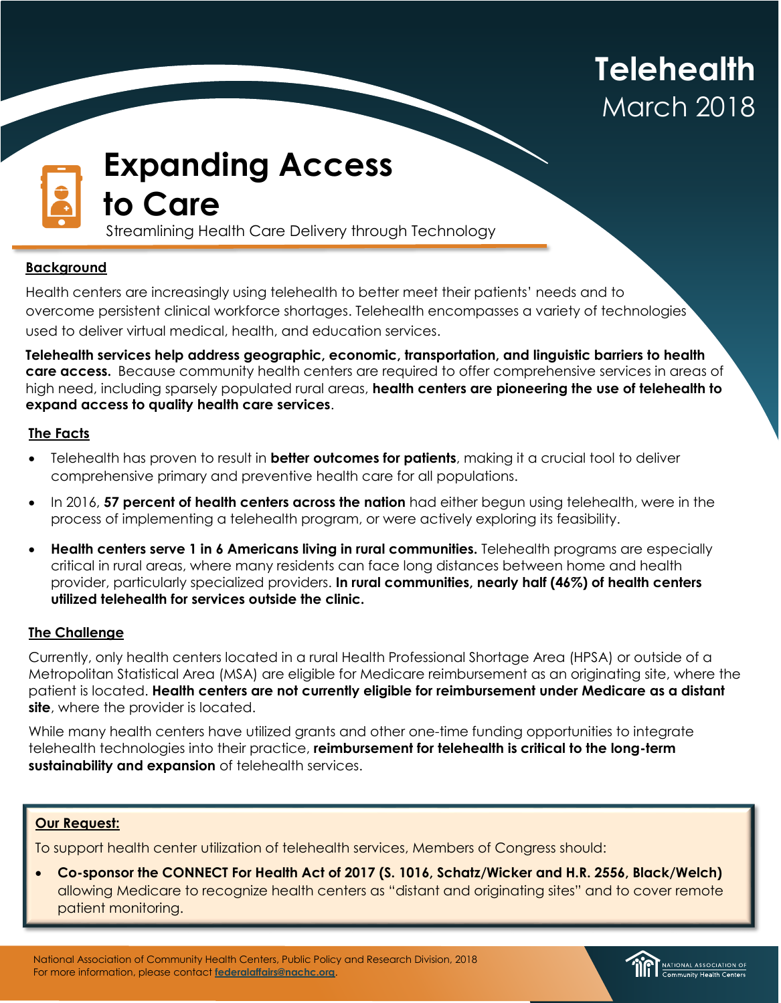# **Telehealth** March 2018



## **Expanding Access to Care**

Streamlining Health Care Delivery through Technology

### **Background**

Health centers are increasingly using telehealth to better meet their patients' needs and to overcome persistent clinical workforce shortages. Telehealth encompasses a variety of technologies used to deliver virtual medical, health, and education services.

**Telehealth services help address geographic, economic, transportation, and linguistic barriers to health care access.** Because community health centers are required to offer comprehensive services in areas of high need, including sparsely populated rural areas, **health centers are pioneering the use of telehealth to expand access to quality health care services**.

### **The Facts**

- Telehealth has proven to result in **better outcomes for patients**, making it a crucial tool to deliver comprehensive primary and preventive health care for all populations.
- In 2016, **57 percent of health centers across the nation** had either begun using telehealth, were in the process of implementing a telehealth program, or were actively exploring its feasibility.
- **Health centers serve 1 in 6 Americans living in rural communities.** Telehealth programs are especially critical in rural areas, where many residents can face long distances between home and health provider, particularly specialized providers. **In rural communities, nearly half (46%) of health centers utilized telehealth for services outside the clinic.**

### **The Challenge**

Currently, only health centers located in a rural Health Professional Shortage Area (HPSA) or outside of a Metropolitan Statistical Area (MSA) are eligible for Medicare reimbursement as an originating site, where the patient is located. **Health centers are not currently eligible for reimbursement under Medicare as a distant site**, where the provider is located.

While many health centers have utilized grants and other one-time funding opportunities to integrate telehealth technologies into their practice, **reimbursement for telehealth is critical to the long-term sustainability and expansion** of telehealth services.

### **Our Request:**

To support health center utilization of telehealth services, Members of Congress should:

 **Co-sponsor the CONNECT For Health Act of 2017 (S. 1016, Schatz/Wicker and H.R. 2556, Black/Welch)** allowing Medicare to recognize health centers as "distant and originating sites" and to cover remote patient monitoring.